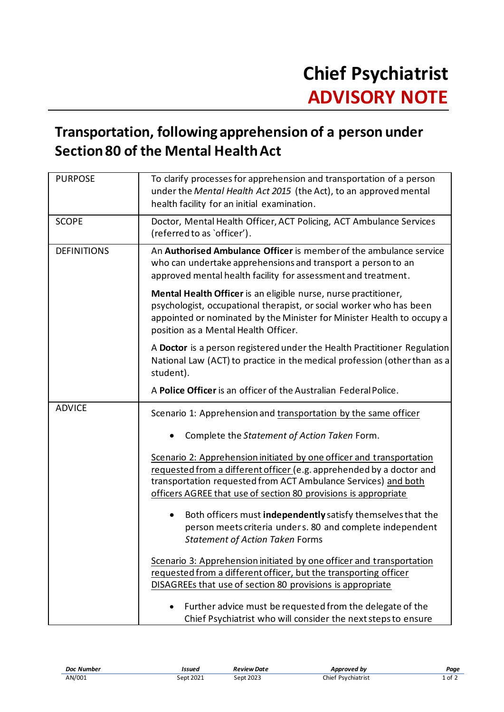## **Transportation, following apprehension of a person under Section 80 of the Mental Health Act**

| <b>PURPOSE</b>     | To clarify processes for apprehension and transportation of a person<br>under the Mental Health Act 2015 (the Act), to an approved mental<br>health facility for an initial examination.                                                                                          |
|--------------------|-----------------------------------------------------------------------------------------------------------------------------------------------------------------------------------------------------------------------------------------------------------------------------------|
| <b>SCOPE</b>       | Doctor, Mental Health Officer, ACT Policing, ACT Ambulance Services<br>(referred to as `officer').                                                                                                                                                                                |
| <b>DEFINITIONS</b> | An <b>Authorised Ambulance Officer</b> is member of the ambulance service<br>who can undertake apprehensions and transport a person to an<br>approved mental health facility for assessment and treatment.                                                                        |
|                    | Mental Health Officer is an eligible nurse, nurse practitioner,<br>psychologist, occupational therapist, or social worker who has been<br>appointed or nominated by the Minister for Minister Health to occupy a<br>position as a Mental Health Officer.                          |
|                    | A Doctor is a person registered under the Health Practitioner Regulation<br>National Law (ACT) to practice in the medical profession (other than as a<br>student).                                                                                                                |
|                    | A Police Officer is an officer of the Australian Federal Police.                                                                                                                                                                                                                  |
| <b>ADVICE</b>      | Scenario 1: Apprehension and transportation by the same officer                                                                                                                                                                                                                   |
|                    | Complete the Statement of Action Taken Form.                                                                                                                                                                                                                                      |
|                    | Scenario 2: Apprehension initiated by one officer and transportation<br>requested from a different officer (e.g. apprehended by a doctor and<br>transportation requested from ACT Ambulance Services) and both<br>officers AGREE that use of section 80 provisions is appropriate |
|                    | Both officers must independently satisfy themselves that the<br>person meets criteria unders. 80 and complete independent<br><b>Statement of Action Taken Forms</b>                                                                                                               |
|                    | Scenario 3: Apprehension initiated by one officer and transportation<br>requested from a different officer, but the transporting officer<br>DISAGREEs that use of section 80 provisions is appropriate                                                                            |
|                    | Further advice must be requested from the delegate of the<br>Chief Psychiatrist who will consider the next steps to ensure                                                                                                                                                        |